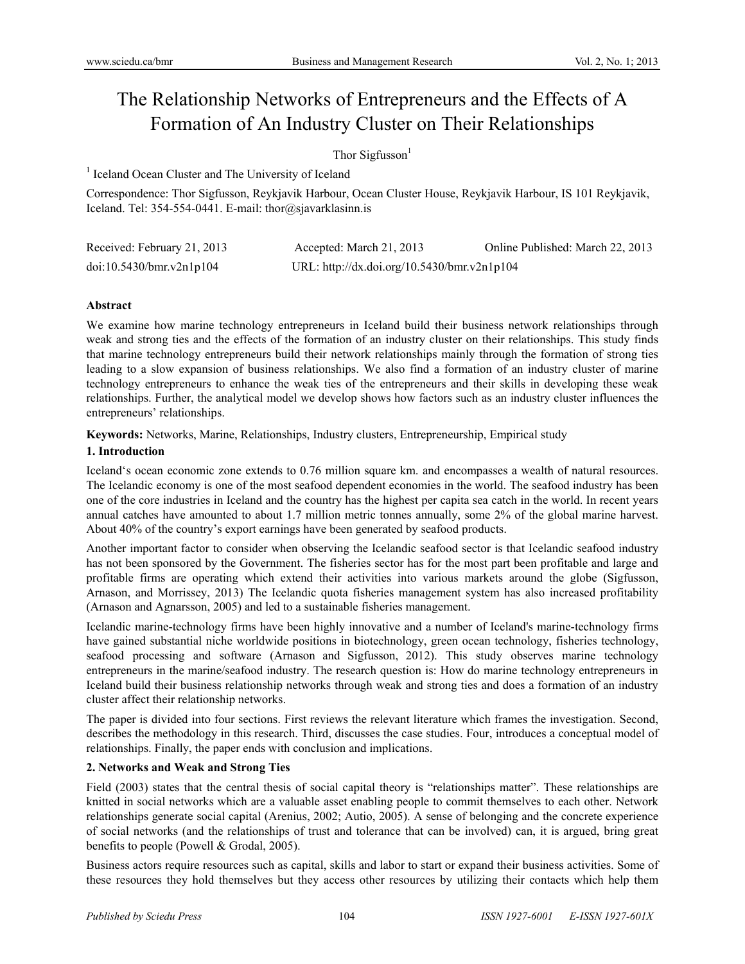# The Relationship Networks of Entrepreneurs and the Effects of A Formation of An Industry Cluster on Their Relationships

Thor Sigfusson $<sup>1</sup>$ </sup>

<sup>1</sup> Iceland Ocean Cluster and The University of Iceland

Correspondence: Thor Sigfusson, Reykjavik Harbour, Ocean Cluster House, Reykjavik Harbour, IS 101 Reykjavik, Iceland. Tel: 354-554-0441. E-mail: thor@sjavarklasinn.is

| Received: February 21, 2013 | Accepted: March 21, 2013                    | Online Published: March 22, 2013 |
|-----------------------------|---------------------------------------------|----------------------------------|
| doi:10.5430/bmr.v2n1p104    | URL: http://dx.doi.org/10.5430/bmr.v2n1p104 |                                  |

## **Abstract**

We examine how marine technology entrepreneurs in Iceland build their business network relationships through weak and strong ties and the effects of the formation of an industry cluster on their relationships. This study finds that marine technology entrepreneurs build their network relationships mainly through the formation of strong ties leading to a slow expansion of business relationships. We also find a formation of an industry cluster of marine technology entrepreneurs to enhance the weak ties of the entrepreneurs and their skills in developing these weak relationships. Further, the analytical model we develop shows how factors such as an industry cluster influences the entrepreneurs' relationships.

**Keywords:** Networks, Marine, Relationships, Industry clusters, Entrepreneurship, Empirical study

#### **1. Introduction**

Iceland's ocean economic zone extends to 0.76 million square km. and encompasses a wealth of natural resources. The Icelandic economy is one of the most seafood dependent economies in the world. The seafood industry has been one of the core industries in Iceland and the country has the highest per capita sea catch in the world. In recent years annual catches have amounted to about 1.7 million metric tonnes annually, some 2% of the global marine harvest. About 40% of the country's export earnings have been generated by seafood products.

Another important factor to consider when observing the Icelandic seafood sector is that Icelandic seafood industry has not been sponsored by the Government. The fisheries sector has for the most part been profitable and large and profitable firms are operating which extend their activities into various markets around the globe (Sigfusson, Arnason, and Morrissey, 2013) The Icelandic quota fisheries management system has also increased profitability (Arnason and Agnarsson, 2005) and led to a sustainable fisheries management.

Icelandic marine-technology firms have been highly innovative and a number of Iceland's marine-technology firms have gained substantial niche worldwide positions in biotechnology, green ocean technology, fisheries technology, seafood processing and software (Arnason and Sigfusson, 2012). This study observes marine technology entrepreneurs in the marine/seafood industry. The research question is: How do marine technology entrepreneurs in Iceland build their business relationship networks through weak and strong ties and does a formation of an industry cluster affect their relationship networks.

The paper is divided into four sections. First reviews the relevant literature which frames the investigation. Second, describes the methodology in this research. Third, discusses the case studies. Four, introduces a conceptual model of relationships. Finally, the paper ends with conclusion and implications.

## **2. Networks and Weak and Strong Ties**

Field (2003) states that the central thesis of social capital theory is "relationships matter". These relationships are knitted in social networks which are a valuable asset enabling people to commit themselves to each other. Network relationships generate social capital (Arenius, 2002; Autio, 2005). A sense of belonging and the concrete experience of social networks (and the relationships of trust and tolerance that can be involved) can, it is argued, bring great benefits to people (Powell & Grodal, 2005).

Business actors require resources such as capital, skills and labor to start or expand their business activities. Some of these resources they hold themselves but they access other resources by utilizing their contacts which help them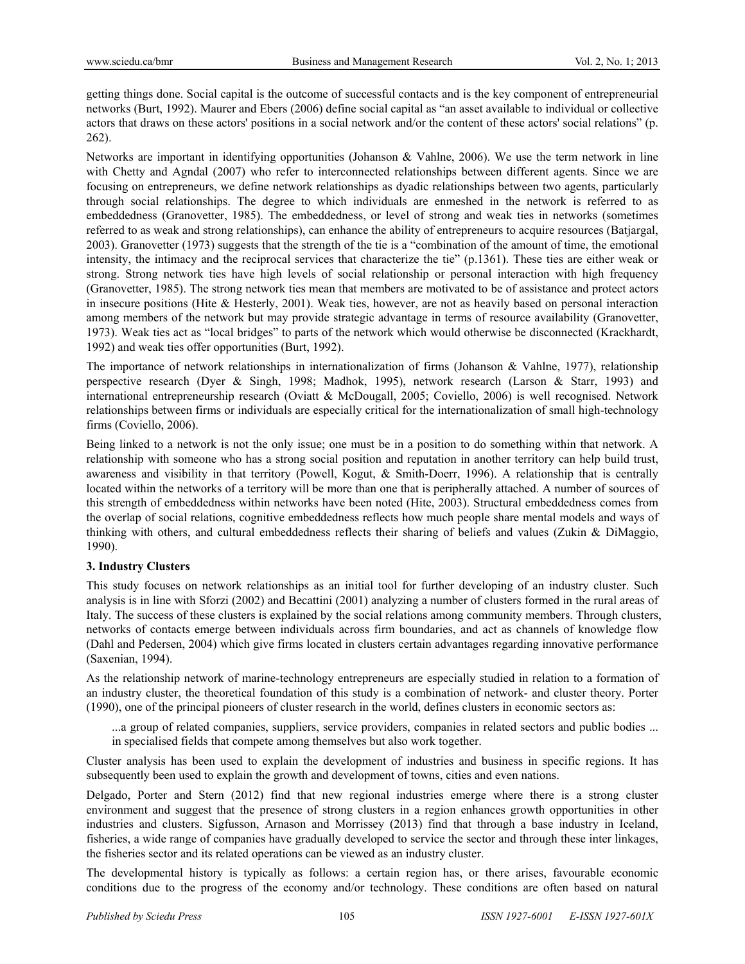getting things done. Social capital is the outcome of successful contacts and is the key component of entrepreneurial networks (Burt, 1992). Maurer and Ebers (2006) define social capital as "an asset available to individual or collective actors that draws on these actors' positions in a social network and/or the content of these actors' social relations" (p. 262).

Networks are important in identifying opportunities (Johanson & Vahlne, 2006). We use the term network in line with Chetty and Agndal (2007) who refer to interconnected relationships between different agents. Since we are focusing on entrepreneurs, we define network relationships as dyadic relationships between two agents, particularly through social relationships. The degree to which individuals are enmeshed in the network is referred to as embeddedness (Granovetter, 1985). The embeddedness, or level of strong and weak ties in networks (sometimes referred to as weak and strong relationships), can enhance the ability of entrepreneurs to acquire resources (Batjargal, 2003). Granovetter (1973) suggests that the strength of the tie is a "combination of the amount of time, the emotional intensity, the intimacy and the reciprocal services that characterize the tie" (p.1361). These ties are either weak or strong. Strong network ties have high levels of social relationship or personal interaction with high frequency (Granovetter, 1985). The strong network ties mean that members are motivated to be of assistance and protect actors in insecure positions (Hite & Hesterly, 2001). Weak ties, however, are not as heavily based on personal interaction among members of the network but may provide strategic advantage in terms of resource availability (Granovetter, 1973). Weak ties act as "local bridges" to parts of the network which would otherwise be disconnected (Krackhardt, 1992) and weak ties offer opportunities (Burt, 1992).

The importance of network relationships in internationalization of firms (Johanson & Vahlne, 1977), relationship perspective research (Dyer & Singh, 1998; Madhok, 1995), network research (Larson & Starr, 1993) and international entrepreneurship research (Oviatt & McDougall, 2005; Coviello, 2006) is well recognised. Network relationships between firms or individuals are especially critical for the internationalization of small high-technology firms (Coviello, 2006).

Being linked to a network is not the only issue; one must be in a position to do something within that network. A relationship with someone who has a strong social position and reputation in another territory can help build trust, awareness and visibility in that territory (Powell, Kogut, & Smith-Doerr, 1996). A relationship that is centrally located within the networks of a territory will be more than one that is peripherally attached. A number of sources of this strength of embeddedness within networks have been noted (Hite, 2003). Structural embeddedness comes from the overlap of social relations, cognitive embeddedness reflects how much people share mental models and ways of thinking with others, and cultural embeddedness reflects their sharing of beliefs and values (Zukin & DiMaggio, 1990).

## **3. Industry Clusters**

This study focuses on network relationships as an initial tool for further developing of an industry cluster. Such analysis is in line with Sforzi (2002) and Becattini (2001) analyzing a number of clusters formed in the rural areas of Italy. The success of these clusters is explained by the social relations among community members. Through clusters, networks of contacts emerge between individuals across firm boundaries, and act as channels of knowledge flow (Dahl and Pedersen, 2004) which give firms located in clusters certain advantages regarding innovative performance (Saxenian, 1994).

As the relationship network of marine-technology entrepreneurs are especially studied in relation to a formation of an industry cluster, the theoretical foundation of this study is a combination of network- and cluster theory. Porter (1990), one of the principal pioneers of cluster research in the world, defines clusters in economic sectors as:

...a group of related companies, suppliers, service providers, companies in related sectors and public bodies ... in specialised fields that compete among themselves but also work together.

Cluster analysis has been used to explain the development of industries and business in specific regions. It has subsequently been used to explain the growth and development of towns, cities and even nations.

Delgado, Porter and Stern (2012) find that new regional industries emerge where there is a strong cluster environment and suggest that the presence of strong clusters in a region enhances growth opportunities in other industries and clusters. Sigfusson, Arnason and Morrissey (2013) find that through a base industry in Iceland, fisheries, a wide range of companies have gradually developed to service the sector and through these inter linkages, the fisheries sector and its related operations can be viewed as an industry cluster.

The developmental history is typically as follows: a certain region has, or there arises, favourable economic conditions due to the progress of the economy and/or technology. These conditions are often based on natural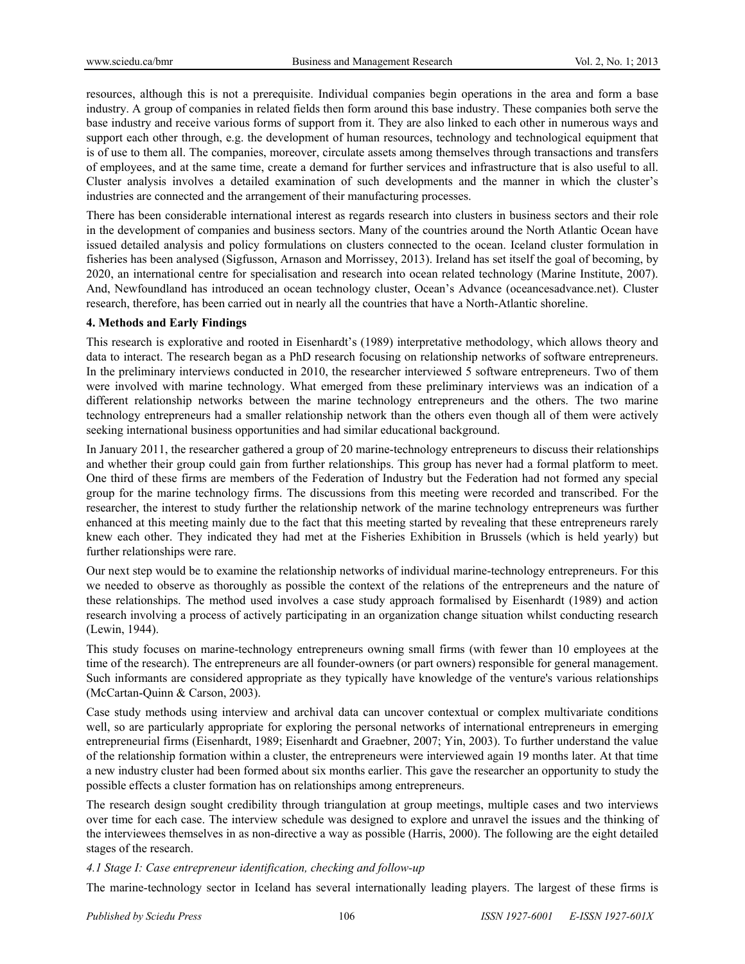resources, although this is not a prerequisite. Individual companies begin operations in the area and form a base industry. A group of companies in related fields then form around this base industry. These companies both serve the base industry and receive various forms of support from it. They are also linked to each other in numerous ways and support each other through, e.g. the development of human resources, technology and technological equipment that is of use to them all. The companies, moreover, circulate assets among themselves through transactions and transfers of employees, and at the same time, create a demand for further services and infrastructure that is also useful to all. Cluster analysis involves a detailed examination of such developments and the manner in which the cluster's industries are connected and the arrangement of their manufacturing processes.

There has been considerable international interest as regards research into clusters in business sectors and their role in the development of companies and business sectors. Many of the countries around the North Atlantic Ocean have issued detailed analysis and policy formulations on clusters connected to the ocean. Iceland cluster formulation in fisheries has been analysed (Sigfusson, Arnason and Morrissey, 2013). Ireland has set itself the goal of becoming, by 2020, an international centre for specialisation and research into ocean related technology (Marine Institute, 2007). And, Newfoundland has introduced an ocean technology cluster, Ocean's Advance (oceancesadvance.net). Cluster research, therefore, has been carried out in nearly all the countries that have a North-Atlantic shoreline.

## **4. Methods and Early Findings**

This research is explorative and rooted in Eisenhardt's (1989) interpretative methodology, which allows theory and data to interact. The research began as a PhD research focusing on relationship networks of software entrepreneurs. In the preliminary interviews conducted in 2010, the researcher interviewed 5 software entrepreneurs. Two of them were involved with marine technology. What emerged from these preliminary interviews was an indication of a different relationship networks between the marine technology entrepreneurs and the others. The two marine technology entrepreneurs had a smaller relationship network than the others even though all of them were actively seeking international business opportunities and had similar educational background.

In January 2011, the researcher gathered a group of 20 marine-technology entrepreneurs to discuss their relationships and whether their group could gain from further relationships. This group has never had a formal platform to meet. One third of these firms are members of the Federation of Industry but the Federation had not formed any special group for the marine technology firms. The discussions from this meeting were recorded and transcribed. For the researcher, the interest to study further the relationship network of the marine technology entrepreneurs was further enhanced at this meeting mainly due to the fact that this meeting started by revealing that these entrepreneurs rarely knew each other. They indicated they had met at the Fisheries Exhibition in Brussels (which is held yearly) but further relationships were rare.

Our next step would be to examine the relationship networks of individual marine-technology entrepreneurs. For this we needed to observe as thoroughly as possible the context of the relations of the entrepreneurs and the nature of these relationships. The method used involves a case study approach formalised by Eisenhardt (1989) and action research involving a process of actively participating in an organization change situation whilst conducting research (Lewin, 1944).

This study focuses on marine-technology entrepreneurs owning small firms (with fewer than 10 employees at the time of the research). The entrepreneurs are all founder-owners (or part owners) responsible for general management. Such informants are considered appropriate as they typically have knowledge of the venture's various relationships (McCartan-Quinn & Carson, 2003).

Case study methods using interview and archival data can uncover contextual or complex multivariate conditions well, so are particularly appropriate for exploring the personal networks of international entrepreneurs in emerging entrepreneurial firms (Eisenhardt, 1989; Eisenhardt and Graebner, 2007; Yin, 2003). To further understand the value of the relationship formation within a cluster, the entrepreneurs were interviewed again 19 months later. At that time a new industry cluster had been formed about six months earlier. This gave the researcher an opportunity to study the possible effects a cluster formation has on relationships among entrepreneurs.

The research design sought credibility through triangulation at group meetings, multiple cases and two interviews over time for each case. The interview schedule was designed to explore and unravel the issues and the thinking of the interviewees themselves in as non-directive a way as possible (Harris, 2000). The following are the eight detailed stages of the research.

## *4.1 Stage I: Case entrepreneur identification, checking and follow-up*

The marine-technology sector in Iceland has several internationally leading players. The largest of these firms is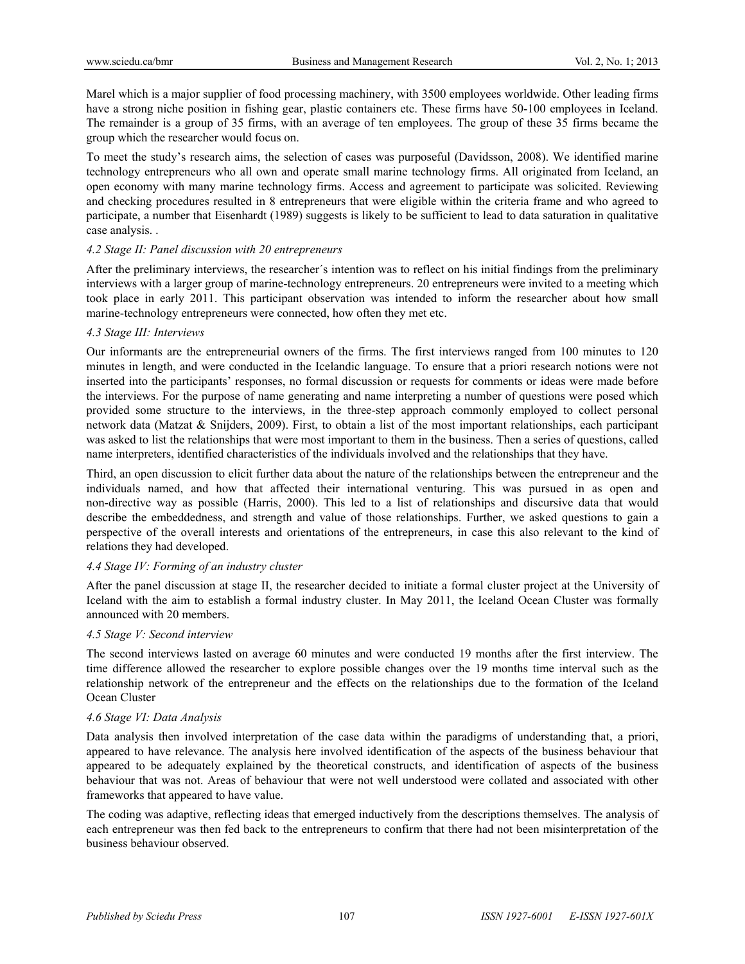Marel which is a major supplier of food processing machinery, with 3500 employees worldwide. Other leading firms have a strong niche position in fishing gear, plastic containers etc. These firms have 50-100 employees in Iceland. The remainder is a group of 35 firms, with an average of ten employees. The group of these 35 firms became the group which the researcher would focus on.

To meet the study's research aims, the selection of cases was purposeful (Davidsson, 2008). We identified marine technology entrepreneurs who all own and operate small marine technology firms. All originated from Iceland, an open economy with many marine technology firms. Access and agreement to participate was solicited. Reviewing and checking procedures resulted in 8 entrepreneurs that were eligible within the criteria frame and who agreed to participate, a number that Eisenhardt (1989) suggests is likely to be sufficient to lead to data saturation in qualitative case analysis. .

#### *4.2 Stage II: Panel discussion with 20 entrepreneurs*

After the preliminary interviews, the researcher´s intention was to reflect on his initial findings from the preliminary interviews with a larger group of marine-technology entrepreneurs. 20 entrepreneurs were invited to a meeting which took place in early 2011. This participant observation was intended to inform the researcher about how small marine-technology entrepreneurs were connected, how often they met etc.

#### *4.3 Stage III: Interviews*

Our informants are the entrepreneurial owners of the firms. The first interviews ranged from 100 minutes to 120 minutes in length, and were conducted in the Icelandic language. To ensure that a priori research notions were not inserted into the participants' responses, no formal discussion or requests for comments or ideas were made before the interviews. For the purpose of name generating and name interpreting a number of questions were posed which provided some structure to the interviews, in the three-step approach commonly employed to collect personal network data (Matzat & Snijders, 2009). First, to obtain a list of the most important relationships, each participant was asked to list the relationships that were most important to them in the business. Then a series of questions, called name interpreters, identified characteristics of the individuals involved and the relationships that they have.

Third, an open discussion to elicit further data about the nature of the relationships between the entrepreneur and the individuals named, and how that affected their international venturing. This was pursued in as open and non-directive way as possible (Harris, 2000). This led to a list of relationships and discursive data that would describe the embeddedness, and strength and value of those relationships. Further, we asked questions to gain a perspective of the overall interests and orientations of the entrepreneurs, in case this also relevant to the kind of relations they had developed.

## *4.4 Stage IV: Forming of an industry cluster*

After the panel discussion at stage II, the researcher decided to initiate a formal cluster project at the University of Iceland with the aim to establish a formal industry cluster. In May 2011, the Iceland Ocean Cluster was formally announced with 20 members.

#### *4.5 Stage V: Second interview*

The second interviews lasted on average 60 minutes and were conducted 19 months after the first interview. The time difference allowed the researcher to explore possible changes over the 19 months time interval such as the relationship network of the entrepreneur and the effects on the relationships due to the formation of the Iceland Ocean Cluster

#### *4.6 Stage VI: Data Analysis*

Data analysis then involved interpretation of the case data within the paradigms of understanding that, a priori, appeared to have relevance. The analysis here involved identification of the aspects of the business behaviour that appeared to be adequately explained by the theoretical constructs, and identification of aspects of the business behaviour that was not. Areas of behaviour that were not well understood were collated and associated with other frameworks that appeared to have value.

The coding was adaptive, reflecting ideas that emerged inductively from the descriptions themselves. The analysis of each entrepreneur was then fed back to the entrepreneurs to confirm that there had not been misinterpretation of the business behaviour observed.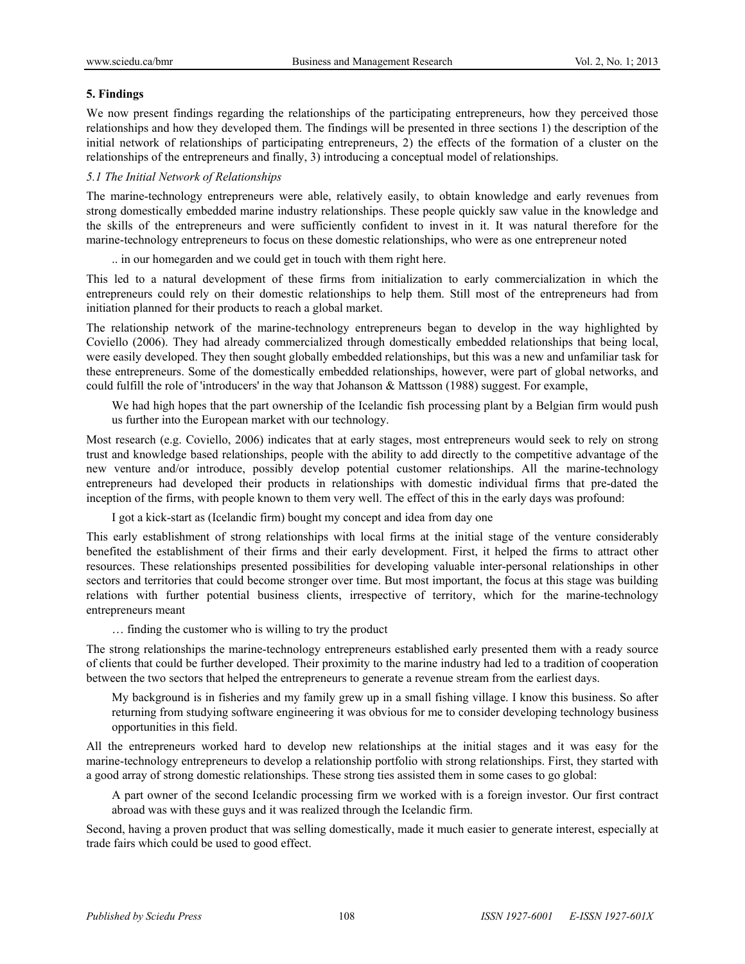# **5. Findings**

We now present findings regarding the relationships of the participating entrepreneurs, how they perceived those relationships and how they developed them. The findings will be presented in three sections 1) the description of the initial network of relationships of participating entrepreneurs, 2) the effects of the formation of a cluster on the relationships of the entrepreneurs and finally, 3) introducing a conceptual model of relationships.

# *5.1 The Initial Network of Relationships*

The marine-technology entrepreneurs were able, relatively easily, to obtain knowledge and early revenues from strong domestically embedded marine industry relationships. These people quickly saw value in the knowledge and the skills of the entrepreneurs and were sufficiently confident to invest in it. It was natural therefore for the marine-technology entrepreneurs to focus on these domestic relationships, who were as one entrepreneur noted

.. in our homegarden and we could get in touch with them right here.

This led to a natural development of these firms from initialization to early commercialization in which the entrepreneurs could rely on their domestic relationships to help them. Still most of the entrepreneurs had from initiation planned for their products to reach a global market.

The relationship network of the marine-technology entrepreneurs began to develop in the way highlighted by Coviello (2006). They had already commercialized through domestically embedded relationships that being local, were easily developed. They then sought globally embedded relationships, but this was a new and unfamiliar task for these entrepreneurs. Some of the domestically embedded relationships, however, were part of global networks, and could fulfill the role of 'introducers' in the way that Johanson & Mattsson (1988) suggest. For example,

We had high hopes that the part ownership of the Icelandic fish processing plant by a Belgian firm would push us further into the European market with our technology.

Most research (e.g. Coviello, 2006) indicates that at early stages, most entrepreneurs would seek to rely on strong trust and knowledge based relationships, people with the ability to add directly to the competitive advantage of the new venture and/or introduce, possibly develop potential customer relationships. All the marine-technology entrepreneurs had developed their products in relationships with domestic individual firms that pre-dated the inception of the firms, with people known to them very well. The effect of this in the early days was profound:

I got a kick-start as (Icelandic firm) bought my concept and idea from day one

This early establishment of strong relationships with local firms at the initial stage of the venture considerably benefited the establishment of their firms and their early development. First, it helped the firms to attract other resources. These relationships presented possibilities for developing valuable inter-personal relationships in other sectors and territories that could become stronger over time. But most important, the focus at this stage was building relations with further potential business clients, irrespective of territory, which for the marine-technology entrepreneurs meant

… finding the customer who is willing to try the product

The strong relationships the marine-technology entrepreneurs established early presented them with a ready source of clients that could be further developed. Their proximity to the marine industry had led to a tradition of cooperation between the two sectors that helped the entrepreneurs to generate a revenue stream from the earliest days.

My background is in fisheries and my family grew up in a small fishing village. I know this business. So after returning from studying software engineering it was obvious for me to consider developing technology business opportunities in this field.

All the entrepreneurs worked hard to develop new relationships at the initial stages and it was easy for the marine-technology entrepreneurs to develop a relationship portfolio with strong relationships. First, they started with a good array of strong domestic relationships. These strong ties assisted them in some cases to go global:

A part owner of the second Icelandic processing firm we worked with is a foreign investor. Our first contract abroad was with these guys and it was realized through the Icelandic firm.

Second, having a proven product that was selling domestically, made it much easier to generate interest, especially at trade fairs which could be used to good effect.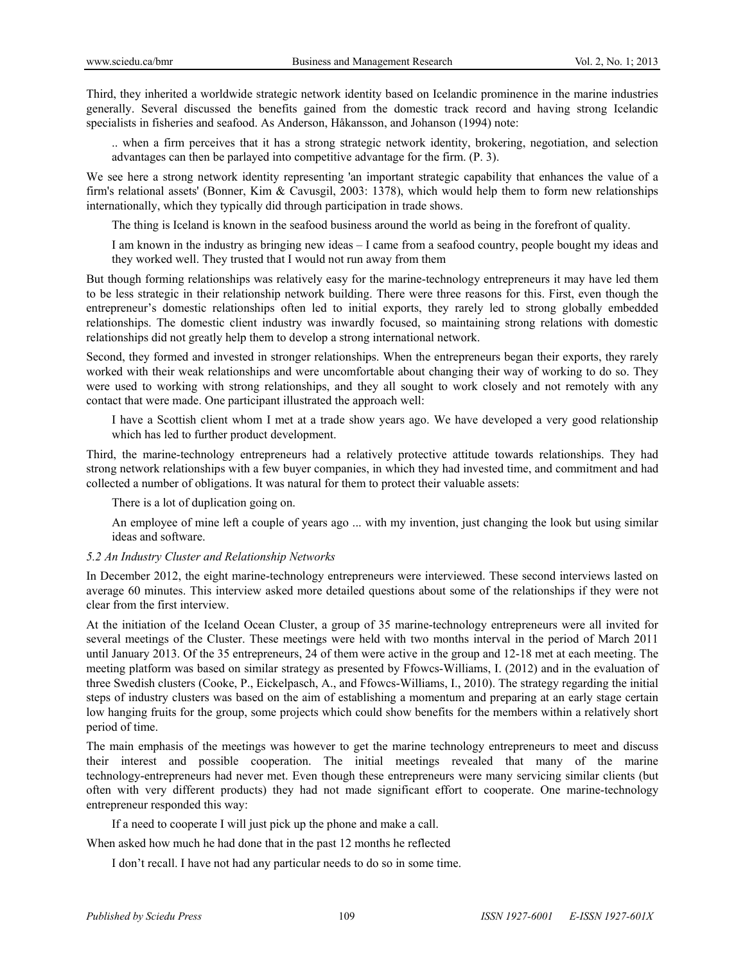Third, they inherited a worldwide strategic network identity based on Icelandic prominence in the marine industries generally. Several discussed the benefits gained from the domestic track record and having strong Icelandic specialists in fisheries and seafood. As Anderson, Håkansson, and Johanson (1994) note:

.. when a firm perceives that it has a strong strategic network identity, brokering, negotiation, and selection advantages can then be parlayed into competitive advantage for the firm. (P. 3).

We see here a strong network identity representing 'an important strategic capability that enhances the value of a firm's relational assets' (Bonner, Kim & Cavusgil, 2003: 1378), which would help them to form new relationships internationally, which they typically did through participation in trade shows.

The thing is Iceland is known in the seafood business around the world as being in the forefront of quality.

I am known in the industry as bringing new ideas – I came from a seafood country, people bought my ideas and they worked well. They trusted that I would not run away from them

But though forming relationships was relatively easy for the marine-technology entrepreneurs it may have led them to be less strategic in their relationship network building. There were three reasons for this. First, even though the entrepreneur's domestic relationships often led to initial exports, they rarely led to strong globally embedded relationships. The domestic client industry was inwardly focused, so maintaining strong relations with domestic relationships did not greatly help them to develop a strong international network.

Second, they formed and invested in stronger relationships. When the entrepreneurs began their exports, they rarely worked with their weak relationships and were uncomfortable about changing their way of working to do so. They were used to working with strong relationships, and they all sought to work closely and not remotely with any contact that were made. One participant illustrated the approach well:

I have a Scottish client whom I met at a trade show years ago. We have developed a very good relationship which has led to further product development.

Third, the marine-technology entrepreneurs had a relatively protective attitude towards relationships. They had strong network relationships with a few buyer companies, in which they had invested time, and commitment and had collected a number of obligations. It was natural for them to protect their valuable assets:

There is a lot of duplication going on.

An employee of mine left a couple of years ago ... with my invention, just changing the look but using similar ideas and software.

#### *5.2 An Industry Cluster and Relationship Networks*

In December 2012, the eight marine-technology entrepreneurs were interviewed. These second interviews lasted on average 60 minutes. This interview asked more detailed questions about some of the relationships if they were not clear from the first interview.

At the initiation of the Iceland Ocean Cluster, a group of 35 marine-technology entrepreneurs were all invited for several meetings of the Cluster. These meetings were held with two months interval in the period of March 2011 until January 2013. Of the 35 entrepreneurs, 24 of them were active in the group and 12-18 met at each meeting. The meeting platform was based on similar strategy as presented by Ffowcs-Williams, I. (2012) and in the evaluation of three Swedish clusters (Cooke, P., Eickelpasch, A., and Ffowcs-Williams, I., 2010). The strategy regarding the initial steps of industry clusters was based on the aim of establishing a momentum and preparing at an early stage certain low hanging fruits for the group, some projects which could show benefits for the members within a relatively short period of time.

The main emphasis of the meetings was however to get the marine technology entrepreneurs to meet and discuss their interest and possible cooperation. The initial meetings revealed that many of the marine technology-entrepreneurs had never met. Even though these entrepreneurs were many servicing similar clients (but often with very different products) they had not made significant effort to cooperate. One marine-technology entrepreneur responded this way:

If a need to cooperate I will just pick up the phone and make a call.

When asked how much he had done that in the past 12 months he reflected

I don't recall. I have not had any particular needs to do so in some time.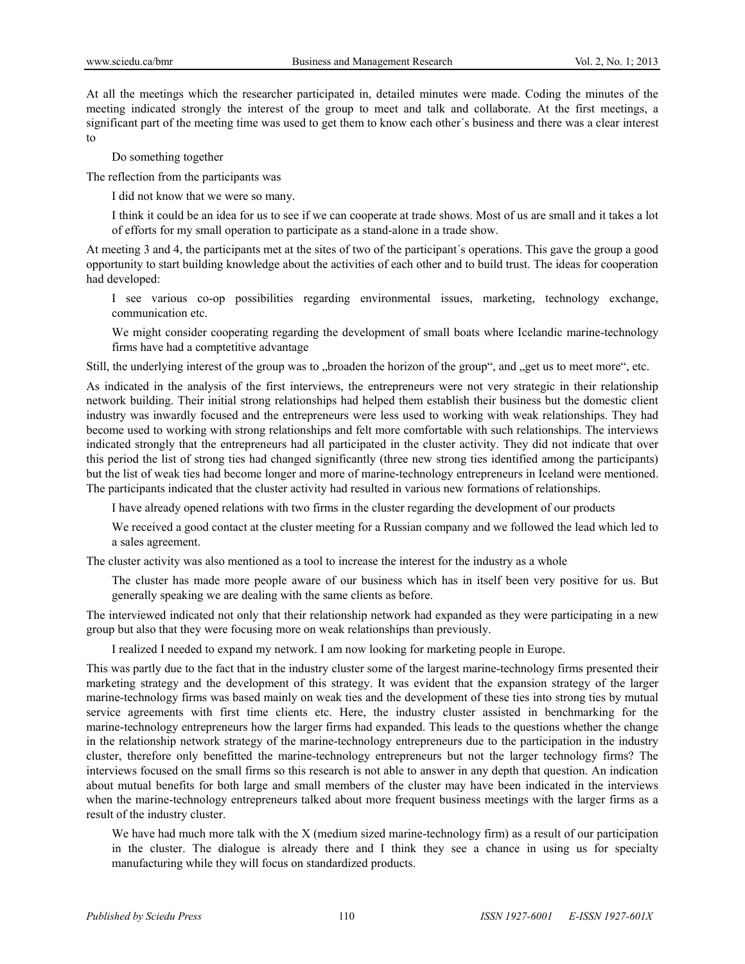At all the meetings which the researcher participated in, detailed minutes were made. Coding the minutes of the meeting indicated strongly the interest of the group to meet and talk and collaborate. At the first meetings, a significant part of the meeting time was used to get them to know each other´s business and there was a clear interest to

Do something together

The reflection from the participants was

I did not know that we were so many.

I think it could be an idea for us to see if we can cooperate at trade shows. Most of us are small and it takes a lot of efforts for my small operation to participate as a stand-alone in a trade show.

At meeting 3 and 4, the participants met at the sites of two of the participant´s operations. This gave the group a good opportunity to start building knowledge about the activities of each other and to build trust. The ideas for cooperation had developed:

I see various co-op possibilities regarding environmental issues, marketing, technology exchange, communication etc.

We might consider cooperating regarding the development of small boats where Icelandic marine-technology firms have had a comptetitive advantage

Still, the underlying interest of the group was to "broaden the horizon of the group", and "get us to meet more", etc.

As indicated in the analysis of the first interviews, the entrepreneurs were not very strategic in their relationship network building. Their initial strong relationships had helped them establish their business but the domestic client industry was inwardly focused and the entrepreneurs were less used to working with weak relationships. They had become used to working with strong relationships and felt more comfortable with such relationships. The interviews indicated strongly that the entrepreneurs had all participated in the cluster activity. They did not indicate that over this period the list of strong ties had changed significantly (three new strong ties identified among the participants) but the list of weak ties had become longer and more of marine-technology entrepreneurs in Iceland were mentioned. The participants indicated that the cluster activity had resulted in various new formations of relationships.

I have already opened relations with two firms in the cluster regarding the development of our products

We received a good contact at the cluster meeting for a Russian company and we followed the lead which led to a sales agreement.

The cluster activity was also mentioned as a tool to increase the interest for the industry as a whole

The cluster has made more people aware of our business which has in itself been very positive for us. But generally speaking we are dealing with the same clients as before.

The interviewed indicated not only that their relationship network had expanded as they were participating in a new group but also that they were focusing more on weak relationships than previously.

I realized I needed to expand my network. I am now looking for marketing people in Europe.

This was partly due to the fact that in the industry cluster some of the largest marine-technology firms presented their marketing strategy and the development of this strategy. It was evident that the expansion strategy of the larger marine-technology firms was based mainly on weak ties and the development of these ties into strong ties by mutual service agreements with first time clients etc. Here, the industry cluster assisted in benchmarking for the marine-technology entrepreneurs how the larger firms had expanded. This leads to the questions whether the change in the relationship network strategy of the marine-technology entrepreneurs due to the participation in the industry cluster, therefore only benefitted the marine-technology entrepreneurs but not the larger technology firms? The interviews focused on the small firms so this research is not able to answer in any depth that question. An indication about mutual benefits for both large and small members of the cluster may have been indicated in the interviews when the marine-technology entrepreneurs talked about more frequent business meetings with the larger firms as a result of the industry cluster.

We have had much more talk with the X (medium sized marine-technology firm) as a result of our participation in the cluster. The dialogue is already there and I think they see a chance in using us for specialty manufacturing while they will focus on standardized products.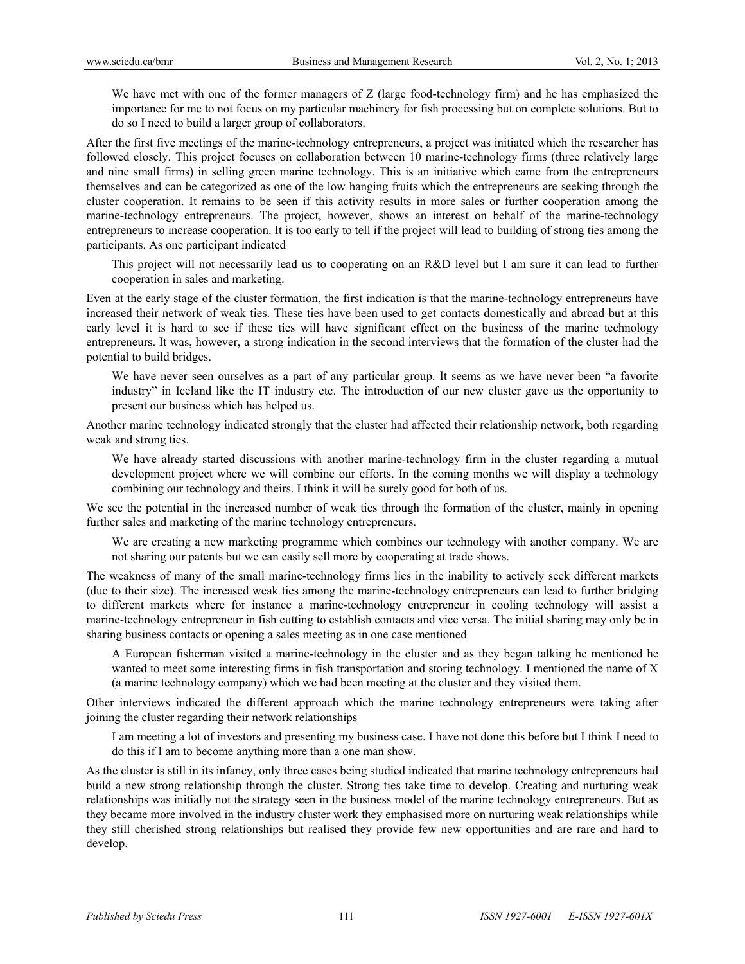We have met with one of the former managers of Z (large food-technology firm) and he has emphasized the importance for me to not focus on my particular machinery for fish processing but on complete solutions. But to do so I need to build a larger group of collaborators.

After the first five meetings of the marine-technology entrepreneurs, a project was initiated which the researcher has followed closely. This project focuses on collaboration between 10 marine-technology firms (three relatively large and nine small firms) in selling green marine technology. This is an initiative which came from the entrepreneurs themselves and can be categorized as one of the low hanging fruits which the entrepreneurs are seeking through the cluster cooperation. It remains to be seen if this activity results in more sales or further cooperation among the marine-technology entrepreneurs. The project, however, shows an interest on behalf of the marine-technology entrepreneurs to increase cooperation. It is too early to tell if the project will lead to building of strong ties among the participants. As one participant indicated

This project will not necessarily lead us to cooperating on an R&D level but I am sure it can lead to further cooperation in sales and marketing.

Even at the early stage of the cluster formation, the first indication is that the marine-technology entrepreneurs have increased their network of weak ties. These ties have been used to get contacts domestically and abroad but at this early level it is hard to see if these ties will have significant effect on the business of the marine technology entrepreneurs. It was, however, a strong indication in the second interviews that the formation of the cluster had the potential to build bridges.

We have never seen ourselves as a part of any particular group. It seems as we have never been "a favorite" industry" in Iceland like the IT industry etc. The introduction of our new cluster gave us the opportunity to present our business which has helped us.

Another marine technology indicated strongly that the cluster had affected their relationship network, both regarding weak and strong ties.

We have already started discussions with another marine-technology firm in the cluster regarding a mutual development project where we will combine our efforts. In the coming months we will display a technology combining our technology and theirs. I think it will be surely good for both of us.

We see the potential in the increased number of weak ties through the formation of the cluster, mainly in opening further sales and marketing of the marine technology entrepreneurs.

We are creating a new marketing programme which combines our technology with another company. We are not sharing our patents but we can easily sell more by cooperating at trade shows.

The weakness of many of the small marine-technology firms lies in the inability to actively seek different markets (due to their size). The increased weak ties among the marine-technology entrepreneurs can lead to further bridging to different markets where for instance a marine-technology entrepreneur in cooling technology will assist a marine-technology entrepreneur in fish cutting to establish contacts and vice versa. The initial sharing may only be in sharing business contacts or opening a sales meeting as in one case mentioned

A European fisherman visited a marine-technology in the cluster and as they began talking he mentioned he wanted to meet some interesting firms in fish transportation and storing technology. I mentioned the name of X (a marine technology company) which we had been meeting at the cluster and they visited them.

Other interviews indicated the different approach which the marine technology entrepreneurs were taking after joining the cluster regarding their network relationships

I am meeting a lot of investors and presenting my business case. I have not done this before but I think I need to do this if I am to become anything more than a one man show.

As the cluster is still in its infancy, only three cases being studied indicated that marine technology entrepreneurs had build a new strong relationship through the cluster. Strong ties take time to develop. Creating and nurturing weak relationships was initially not the strategy seen in the business model of the marine technology entrepreneurs. But as they became more involved in the industry cluster work they emphasised more on nurturing weak relationships while they still cherished strong relationships but realised they provide few new opportunities and are rare and hard to develop.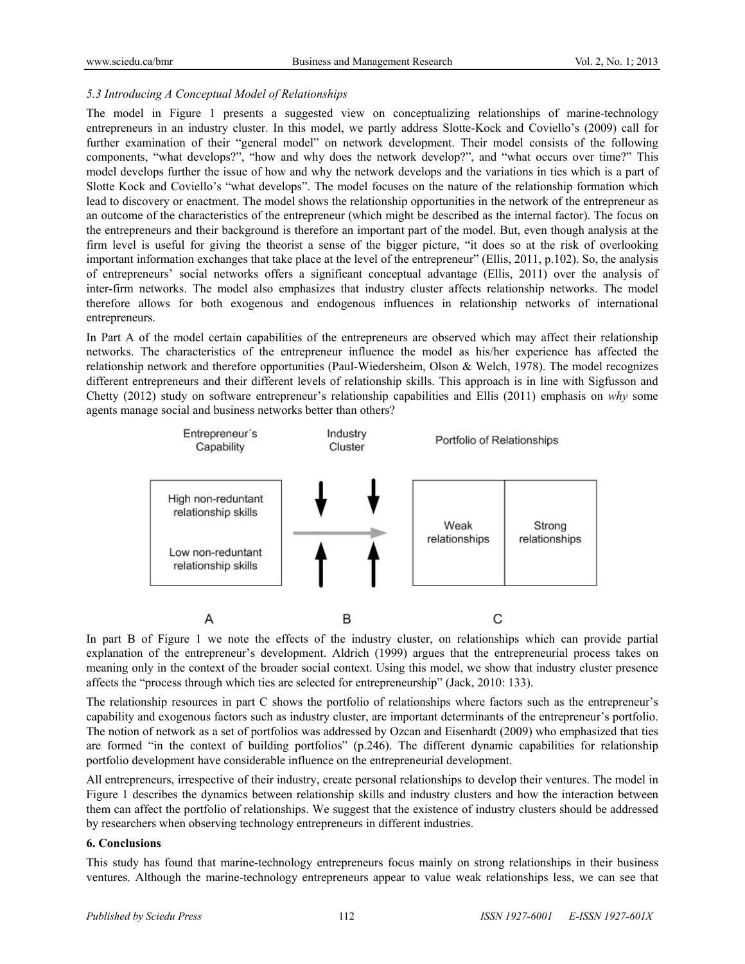# *5.3 Introducing A Conceptual Model of Relationships*

The model in Figure 1 presents a suggested view on conceptualizing relationships of marine-technology entrepreneurs in an industry cluster. In this model, we partly address Slotte-Kock and Coviello's (2009) call for further examination of their "general model" on network development. Their model consists of the following components, "what develops?", "how and why does the network develop?", and "what occurs over time?" This model develops further the issue of how and why the network develops and the variations in ties which is a part of Slotte Kock and Coviello's "what develops". The model focuses on the nature of the relationship formation which lead to discovery or enactment. The model shows the relationship opportunities in the network of the entrepreneur as an outcome of the characteristics of the entrepreneur (which might be described as the internal factor). The focus on the entrepreneurs and their background is therefore an important part of the model. But, even though analysis at the firm level is useful for giving the theorist a sense of the bigger picture, "it does so at the risk of overlooking important information exchanges that take place at the level of the entrepreneur" (Ellis, 2011, p.102). So, the analysis of entrepreneurs' social networks offers a significant conceptual advantage (Ellis, 2011) over the analysis of inter-firm networks. The model also emphasizes that industry cluster affects relationship networks. The model therefore allows for both exogenous and endogenous influences in relationship networks of international entrepreneurs.

In Part A of the model certain capabilities of the entrepreneurs are observed which may affect their relationship networks. The characteristics of the entrepreneur influence the model as his/her experience has affected the relationship network and therefore opportunities (Paul-Wiedersheim, Olson & Welch, 1978). The model recognizes different entrepreneurs and their different levels of relationship skills. This approach is in line with Sigfusson and Chetty (2012) study on software entrepreneur's relationship capabilities and Ellis (2011) emphasis on *why* some agents manage social and business networks better than others?



In part B of Figure 1 we note the effects of the industry cluster, on relationships which can provide partial explanation of the entrepreneur's development. Aldrich (1999) argues that the entrepreneurial process takes on meaning only in the context of the broader social context. Using this model, we show that industry cluster presence affects the "process through which ties are selected for entrepreneurship" (Jack, 2010: 133).

The relationship resources in part C shows the portfolio of relationships where factors such as the entrepreneur's capability and exogenous factors such as industry cluster, are important determinants of the entrepreneur's portfolio. The notion of network as a set of portfolios was addressed by Ozcan and Eisenhardt (2009) who emphasized that ties are formed "in the context of building portfolios" (p.246). The different dynamic capabilities for relationship portfolio development have considerable influence on the entrepreneurial development.

All entrepreneurs, irrespective of their industry, create personal relationships to develop their ventures. The model in Figure 1 describes the dynamics between relationship skills and industry clusters and how the interaction between them can affect the portfolio of relationships. We suggest that the existence of industry clusters should be addressed by researchers when observing technology entrepreneurs in different industries.

## **6. Conclusions**

This study has found that marine-technology entrepreneurs focus mainly on strong relationships in their business ventures. Although the marine-technology entrepreneurs appear to value weak relationships less, we can see that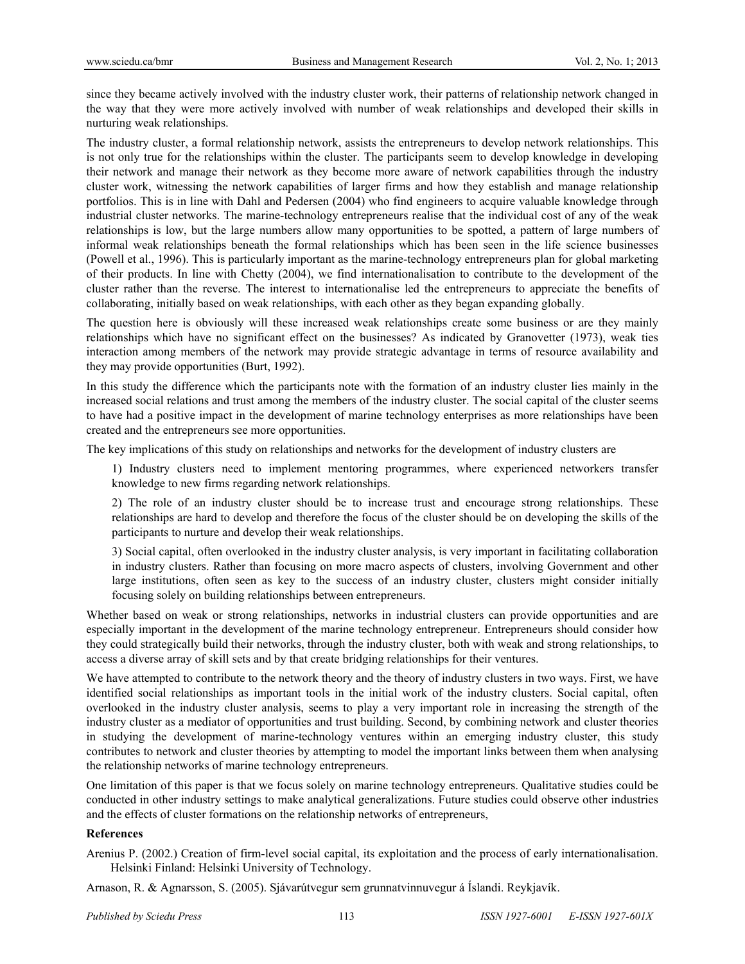since they became actively involved with the industry cluster work, their patterns of relationship network changed in the way that they were more actively involved with number of weak relationships and developed their skills in nurturing weak relationships.

The industry cluster, a formal relationship network, assists the entrepreneurs to develop network relationships. This is not only true for the relationships within the cluster. The participants seem to develop knowledge in developing their network and manage their network as they become more aware of network capabilities through the industry cluster work, witnessing the network capabilities of larger firms and how they establish and manage relationship portfolios. This is in line with Dahl and Pedersen (2004) who find engineers to acquire valuable knowledge through industrial cluster networks. The marine-technology entrepreneurs realise that the individual cost of any of the weak relationships is low, but the large numbers allow many opportunities to be spotted, a pattern of large numbers of informal weak relationships beneath the formal relationships which has been seen in the life science businesses (Powell et al., 1996). This is particularly important as the marine-technology entrepreneurs plan for global marketing of their products. In line with Chetty (2004), we find internationalisation to contribute to the development of the cluster rather than the reverse. The interest to internationalise led the entrepreneurs to appreciate the benefits of collaborating, initially based on weak relationships, with each other as they began expanding globally.

The question here is obviously will these increased weak relationships create some business or are they mainly relationships which have no significant effect on the businesses? As indicated by Granovetter (1973), weak ties interaction among members of the network may provide strategic advantage in terms of resource availability and they may provide opportunities (Burt, 1992).

In this study the difference which the participants note with the formation of an industry cluster lies mainly in the increased social relations and trust among the members of the industry cluster. The social capital of the cluster seems to have had a positive impact in the development of marine technology enterprises as more relationships have been created and the entrepreneurs see more opportunities.

The key implications of this study on relationships and networks for the development of industry clusters are

1) Industry clusters need to implement mentoring programmes, where experienced networkers transfer knowledge to new firms regarding network relationships.

2) The role of an industry cluster should be to increase trust and encourage strong relationships. These relationships are hard to develop and therefore the focus of the cluster should be on developing the skills of the participants to nurture and develop their weak relationships.

3) Social capital, often overlooked in the industry cluster analysis, is very important in facilitating collaboration in industry clusters. Rather than focusing on more macro aspects of clusters, involving Government and other large institutions, often seen as key to the success of an industry cluster, clusters might consider initially focusing solely on building relationships between entrepreneurs.

Whether based on weak or strong relationships, networks in industrial clusters can provide opportunities and are especially important in the development of the marine technology entrepreneur. Entrepreneurs should consider how they could strategically build their networks, through the industry cluster, both with weak and strong relationships, to access a diverse array of skill sets and by that create bridging relationships for their ventures.

We have attempted to contribute to the network theory and the theory of industry clusters in two ways. First, we have identified social relationships as important tools in the initial work of the industry clusters. Social capital, often overlooked in the industry cluster analysis, seems to play a very important role in increasing the strength of the industry cluster as a mediator of opportunities and trust building. Second, by combining network and cluster theories in studying the development of marine-technology ventures within an emerging industry cluster, this study contributes to network and cluster theories by attempting to model the important links between them when analysing the relationship networks of marine technology entrepreneurs.

One limitation of this paper is that we focus solely on marine technology entrepreneurs. Qualitative studies could be conducted in other industry settings to make analytical generalizations. Future studies could observe other industries and the effects of cluster formations on the relationship networks of entrepreneurs,

#### **References**

Arenius P. (2002.) Creation of firm-level social capital, its exploitation and the process of early internationalisation. Helsinki Finland: Helsinki University of Technology.

Arnason, R. & Agnarsson, S. (2005). Sjávarútvegur sem grunnatvinnuvegur á Íslandi. Reykjavík.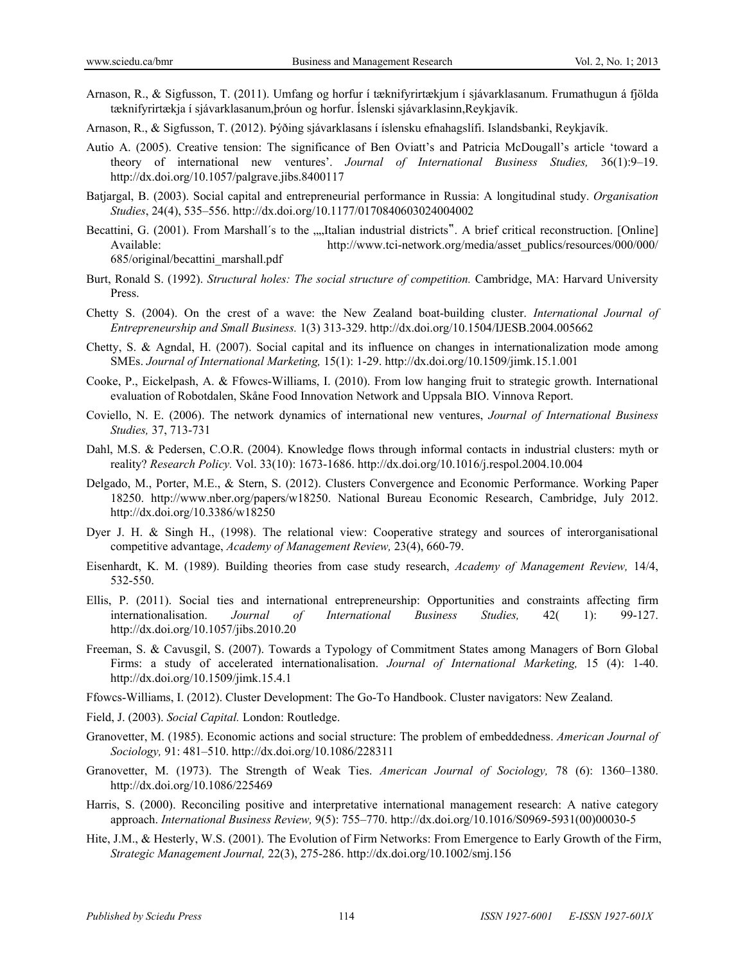- Arnason, R., & Sigfusson, T. (2011). Umfang og horfur í tæknifyrirtækjum í sjávarklasanum. Frumathugun á fjölda tæknifyrirtækja í sjávarklasanum,þróun og horfur. Íslenski sjávarklasinn,Reykjavík.
- Arnason, R., & Sigfusson, T. (2012). Þýðing sjávarklasans í íslensku efnahagslífi. Islandsbanki, Reykjavík.
- Autio A. (2005). Creative tension: The significance of Ben Oviatt's and Patricia McDougall's article 'toward a theory of international new ventures'. *Journal of International Business Studies,* 36(1):9–19. http://dx.doi.org/10.1057/palgrave.jibs.8400117
- Batjargal, B. (2003). Social capital and entrepreneurial performance in Russia: A longitudinal study. *Organisation Studies*, 24(4), 535–556. http://dx.doi.org/10.1177/0170840603024004002
- Becattini, G. (2001). From Marshall's to the ""Italian industrial districts". A brief critical reconstruction. [Online] Available: http://www.tci-network.org/media/asset\_publics/resources/000/000/ 685/original/becattini\_marshall.pdf
- Burt, Ronald S. (1992). *Structural holes: The social structure of competition.* Cambridge, MA: Harvard University Press.
- Chetty S. (2004). On the crest of a wave: the New Zealand boat-building cluster. *International Journal of Entrepreneurship and Small Business.* 1(3) 313-329. http://dx.doi.org/10.1504/IJESB.2004.005662
- Chetty, S. & Agndal, H. (2007). Social capital and its influence on changes in internationalization mode among SMEs. *Journal of International Marketing,* 15(1): 1-29. http://dx.doi.org/10.1509/jimk.15.1.001
- Cooke, P., Eickelpash, A. & Ffowcs-Williams, I. (2010). From low hanging fruit to strategic growth. International evaluation of Robotdalen, Skåne Food Innovation Network and Uppsala BIO. Vinnova Report.
- Coviello, N. E. (2006). The network dynamics of international new ventures, *Journal of International Business Studies,* 37, 713-731
- Dahl, M.S. & Pedersen, C.O.R. (2004). Knowledge flows through informal contacts in industrial clusters: myth or reality? *Research Policy.* Vol. 33(10): 1673-1686. http://dx.doi.org/10.1016/j.respol.2004.10.004
- Delgado, M., Porter, M.E., & Stern, S. (2012). Clusters Convergence and Economic Performance. Working Paper 18250. http://www.nber.org/papers/w18250. National Bureau Economic Research, Cambridge, July 2012. http://dx.doi.org/10.3386/w18250
- Dyer J. H. & Singh H., (1998). The relational view: Cooperative strategy and sources of interorganisational competitive advantage, *Academy of Management Review,* 23(4), 660-79.
- Eisenhardt, K. M. (1989). Building theories from case study research, *Academy of Management Review,* 14/4, 532-550.
- Ellis, P. (2011). Social ties and international entrepreneurship: Opportunities and constraints affecting firm internationalisation. *Journal of International Business Studies,* 42( 1): 99-127. http://dx.doi.org/10.1057/jibs.2010.20
- Freeman, S. & Cavusgil, S. (2007). Towards a Typology of Commitment States among Managers of Born Global Firms: a study of accelerated internationalisation. *Journal of International Marketing,* 15 (4): 1-40. http://dx.doi.org/10.1509/jimk.15.4.1
- Ffowcs-Williams, I. (2012). Cluster Development: The Go-To Handbook. Cluster navigators: New Zealand.
- Field, J. (2003). *Social Capital.* London: Routledge.
- Granovetter, M. (1985). Economic actions and social structure: The problem of embeddedness. *American Journal of Sociology,* 91: 481–510. http://dx.doi.org/10.1086/228311
- Granovetter, M. (1973). The Strength of Weak Ties. *American Journal of Sociology,* 78 (6): 1360–1380. http://dx.doi.org/10.1086/225469
- Harris, S. (2000). Reconciling positive and interpretative international management research: A native category approach. *International Business Review,* 9(5): 755–770. http://dx.doi.org/10.1016/S0969-5931(00)00030-5
- Hite, J.M., & Hesterly, W.S. (2001). The Evolution of Firm Networks: From Emergence to Early Growth of the Firm, *Strategic Management Journal,* 22(3), 275-286. http://dx.doi.org/10.1002/smj.156